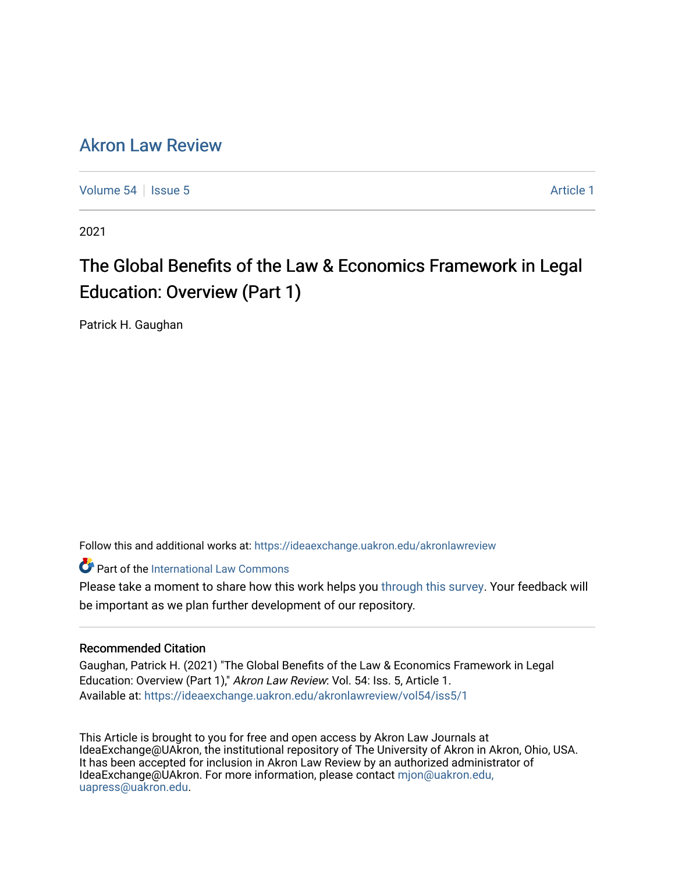# [Akron Law Review](https://ideaexchange.uakron.edu/akronlawreview)

[Volume 54](https://ideaexchange.uakron.edu/akronlawreview/vol54) Session 5 [Article 1](https://ideaexchange.uakron.edu/akronlawreview/vol54/iss5/1) Article 1

2021

# The Global Benefits of the Law & Economics Framework in Legal Education: Overview (Part 1)

Patrick H. Gaughan

Follow this and additional works at: [https://ideaexchange.uakron.edu/akronlawreview](https://ideaexchange.uakron.edu/akronlawreview?utm_source=ideaexchange.uakron.edu%2Fakronlawreview%2Fvol54%2Fiss5%2F1&utm_medium=PDF&utm_campaign=PDFCoverPages)

**Part of the International Law Commons** 

Please take a moment to share how this work helps you [through this survey](http://survey.az1.qualtrics.com/SE/?SID=SV_eEVH54oiCbOw05f&URL=https://ideaexchange.uakron.edu/akronlawreview/vol54/iss5/1). Your feedback will be important as we plan further development of our repository.

# Recommended Citation

Gaughan, Patrick H. (2021) "The Global Benefits of the Law & Economics Framework in Legal Education: Overview (Part 1)," Akron Law Review: Vol. 54: Iss. 5, Article 1. Available at: [https://ideaexchange.uakron.edu/akronlawreview/vol54/iss5/1](https://ideaexchange.uakron.edu/akronlawreview/vol54/iss5/1?utm_source=ideaexchange.uakron.edu%2Fakronlawreview%2Fvol54%2Fiss5%2F1&utm_medium=PDF&utm_campaign=PDFCoverPages) 

This Article is brought to you for free and open access by Akron Law Journals at IdeaExchange@UAkron, the institutional repository of The University of Akron in Akron, Ohio, USA. It has been accepted for inclusion in Akron Law Review by an authorized administrator of IdeaExchange@UAkron. For more information, please contact [mjon@uakron.edu,](mailto:mjon@uakron.edu,%20uapress@uakron.edu) [uapress@uakron.edu.](mailto:mjon@uakron.edu,%20uapress@uakron.edu)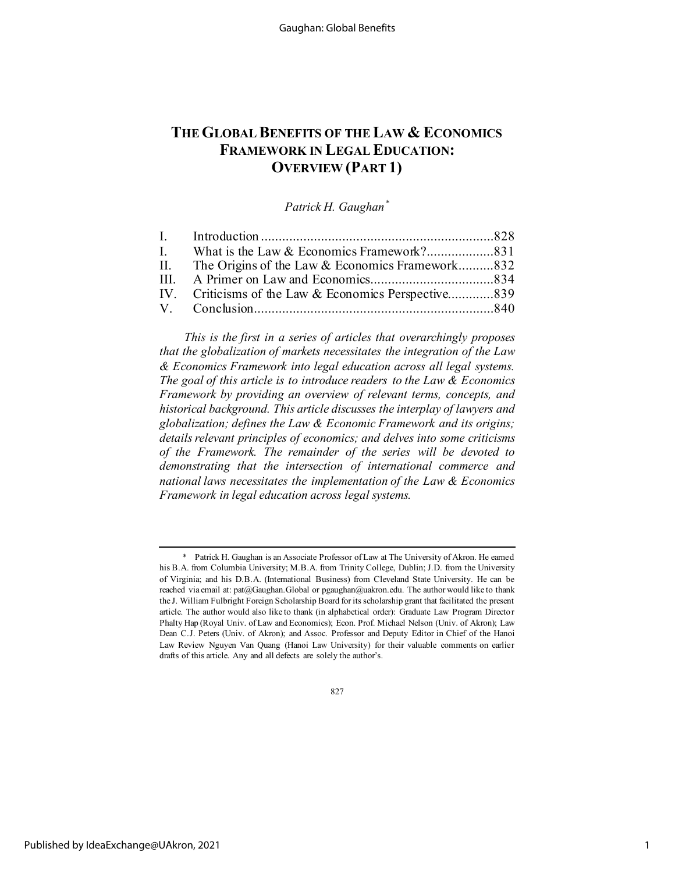# **THE GLOBAL BENEFITS OF THE LAW & ECONOMICS FRAMEWORK IN LEGAL EDUCATION: OVERVIEW (PART 1)**

*Patrick H. Gaughan[\\*](#page-1-0)*

| II. The Origins of the Law & Economics Framework832  |  |
|------------------------------------------------------|--|
|                                                      |  |
| IV. Criticisms of the Law & Economics Perspective839 |  |
|                                                      |  |
|                                                      |  |

*This is the first in a series of articles that overarchingly proposes that the globalization of markets necessitates the integration of the Law & Economics Framework into legal education across all legal systems. The goal of this article is to introduce readers to the Law & Economics Framework by providing an overview of relevant terms, concepts, and historical background. This article discusses the interplay of lawyers and globalization; defines the Law & Economic Framework and its origins; details relevant principles of economics; and delves into some criticisms of the Framework. The remainder of the series will be devoted to demonstrating that the intersection of international commerce and national laws necessitates the implementation of the Law & Economics Framework in legal education across legal systems.*

827

<span id="page-1-0"></span><sup>\*</sup> Patrick H. Gaughan is an Associate Professor of Law at The University of Akron. He earned his B.A. from Columbia University; M.B.A. from Trinity College, Dublin; J.D. from the University of Virginia; and his D.B.A. (International Business) from Cleveland State University. He can be reached via email at: pat@Gaughan.Global or pgaughan@uakron.edu. The author would like to thank the J. William Fulbright Foreign Scholarship Board for its scholarship grant that facilitated the present article. The author would also like to thank (in alphabetical order): Graduate Law Program Director Phalty Hap (Royal Univ. of Law and Economics); Econ. Prof. Michael Nelson (Univ. of Akron); Law Dean C.J. Peters (Univ. of Akron); and Assoc. Professor and Deputy Editor in Chief of the Hanoi Law Review Nguyen Van Quang (Hanoi Law University) for their valuable comments on earlier drafts of this article. Any and all defects are solely the author's.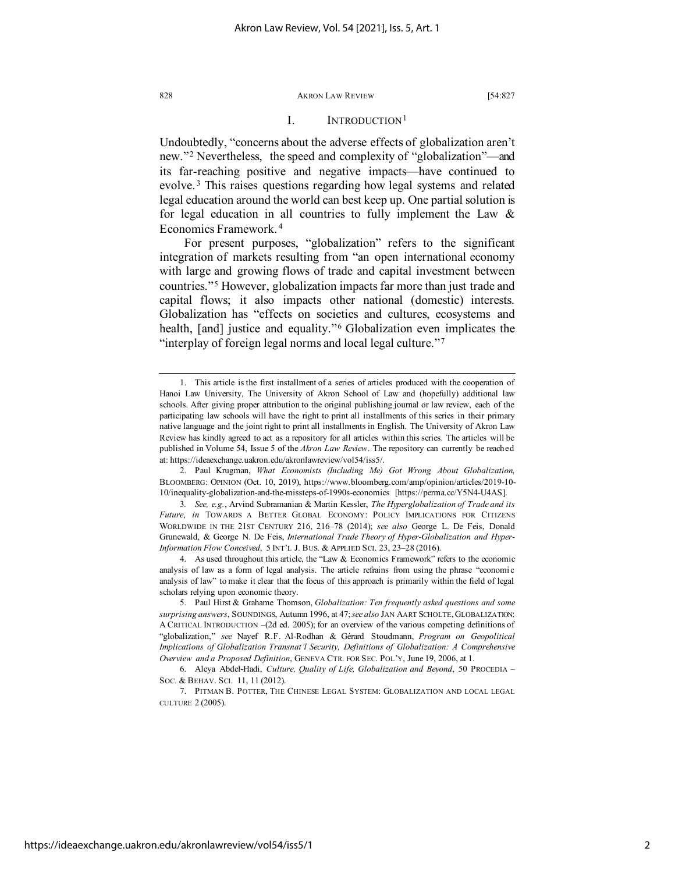#### I. INTRODUCTION<sup>[1](#page-2-0)</sup>

Undoubtedly, "concerns about the adverse effects of globalization aren't new."[2](#page-2-1) Nevertheless, the speed and complexity of "globalization"—and its far-reaching positive and negative impacts—have continued to evolve.<sup>[3](#page-2-2)</sup> This raises questions regarding how legal systems and related legal education around the world can best keep up. One partial solution is for legal education in all countries to fully implement the Law & Economics Framework. [4](#page-2-3)

For present purposes, "globalization" refers to the significant integration of markets resulting from "an open international economy with large and growing flows of trade and capital investment between countries."[5](#page-2-4) However, globalization impacts far more than just trade and capital flows; it also impacts other national (domestic) interests. Globalization has "effects on societies and cultures, ecosystems and health, [and] justice and equality."[6](#page-2-5) Globalization even implicates the "interplay of foreign legal norms and local legal culture."[7](#page-2-6)

<span id="page-2-0"></span><sup>1.</sup> This article is the first installment of a series of articles produced with the cooperation of Hanoi Law University, The University of Akron School of Law and (hopefully) additional law schools. After giving proper attribution to the original publishing journal or law review, each of the participating law schools will have the right to print all installments of this series in their primary native language and the joint right to print all installments in English. The University of Akron Law Review has kindly agreed to act as a repository for all articles within this series. The articles will be published in Volume 54, Issue 5 of the *Akron Law Review*. The repository can currently be reached at: https://ideaexchange.uakron.edu/akronlawreview/vol54/iss5/.

<span id="page-2-1"></span><sup>2.</sup> Paul Krugman, *What Economists (Including Me) Got Wrong About Globalization*, BLOOMBERG: OPINION (Oct. 10, 2019), https://www.bloomberg.com/amp/opinion/articles/2019-10- 10/inequality-globalization-and-the-missteps-of-1990s-economics [https://perma.cc/Y5N4-U4AS].

<span id="page-2-2"></span><sup>3</sup>*. See, e.g.*, Arvind Subramanian & Martin Kessler, *The Hyperglobalization of Trade and its Future*, *in* TOWARDS A BETTER GLOBAL ECONOMY: POLICY IMPLICATIONS FOR CITIZENS WORLDWIDE IN THE 21ST CENTURY 216, 216–78 (2014); *see also* George L. De Feis, Donald Grunewald, & George N. De Feis, *International Trade Theory of Hyper-Globalization and Hyper-Information Flow Conceived*, 5 INT'L J. BUS. & APPLIED SCI. 23, 23–28 (2016).

<span id="page-2-3"></span><sup>4.</sup> As used throughout this article, the "Law & Economics Framework" refers to the economic analysis of law as a form of legal analysis. The article refrains from using the phrase "economic analysis of law" to make it clear that the focus of this approach is primarily within the field of legal scholars relying upon economic theory.

<span id="page-2-4"></span><sup>5.</sup> Paul Hirst & Grahame Thomson, *Globalization: Ten frequently asked questions and some surprising answers*, SOUNDINGS, Autumn 1996, at 47; *see also* JAN AART SCHOLTE, GLOBALIZATION: A CRITICAL INTRODUCTION –(2d ed. 2005); for an overview of the various competing definitions of "globalization," *see* Nayef R.F. Al-Rodhan & Gérard Stoudmann, *Program on Geopolitical Implications of Globalization Transnat'l Security, Definitions of Globalization: A Comprehensive Overview and a Proposed Definition*, GENEVA CTR. FOR SEC. POL'Y, June 19, 2006, at 1.

<span id="page-2-5"></span><sup>6.</sup> Aleya Abdel-Hadi, *Culture, Quality of Life, Globalization and Beyond*, 50 PROCEDIA – SOC. & BEHAV. SCI. 11, 11 (2012).

<span id="page-2-6"></span><sup>7.</sup> PITMAN B. POTTER, THE CHINESE LEGAL SYSTEM: GLOBALIZATION AND LOCAL LEGAL CULTURE 2 (2005).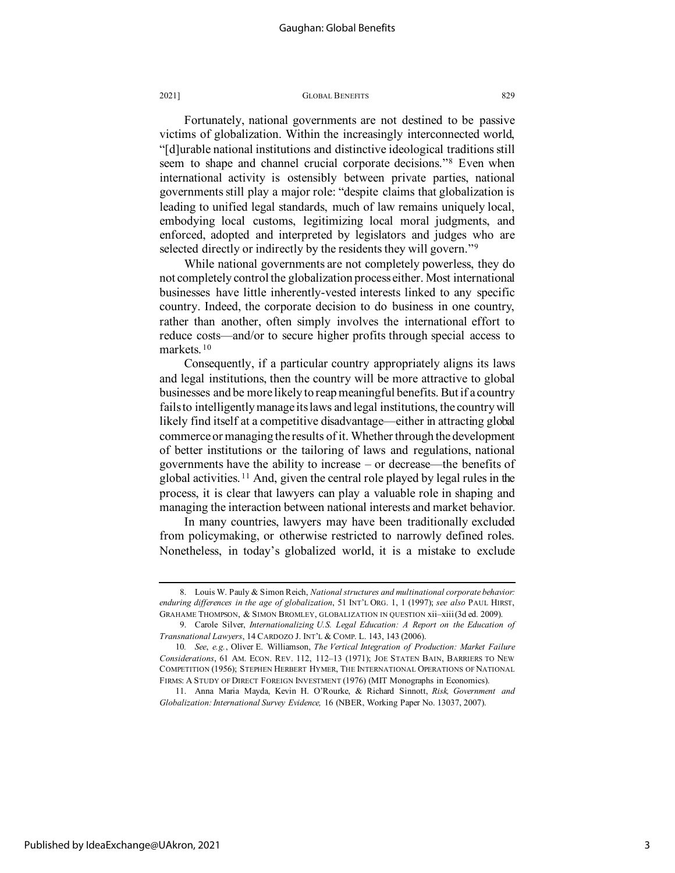Fortunately, national governments are not destined to be passive victims of globalization. Within the increasingly interconnected world, "[d]urable national institutions and distinctive ideological traditions still seem to shape and channel crucial corporate decisions."[8](#page-3-0) Even when international activity is ostensibly between private parties, national governments still play a major role: "despite claims that globalization is leading to unified legal standards, much of law remains uniquely local, embodying local customs, legitimizing local moral judgments, and enforced, adopted and interpreted by legislators and judges who are selected directly or indirectly by the residents they will govern."<sup>[9](#page-3-1)</sup>

While national governments are not completely powerless, they do not completely control the globalization process either. Most international businesses have little inherently-vested interests linked to any specific country. Indeed, the corporate decision to do business in one country, rather than another, often simply involves the international effort to reduce costs—and/or to secure higher profits through special access to markets. [10](#page-3-2)

Consequently, if a particular country appropriately aligns its laws and legal institutions, then the country will be more attractive to global businesses and be more likely to reap meaningful benefits. But if a country fails to intelligently manage its laws and legal institutions, the country will likely find itself at a competitive disadvantage—either in attracting global commerce or managing the results of it. Whether through the development of better institutions or the tailoring of laws and regulations, national governments have the ability to increase – or decrease—the benefits of global activities. [11](#page-3-3) And, given the central role played by legal rules in the process, it is clear that lawyers can play a valuable role in shaping and managing the interaction between national interests and market behavior.

In many countries, lawyers may have been traditionally excluded from policymaking, or otherwise restricted to narrowly defined roles. Nonetheless, in today's globalized world, it is a mistake to exclude

<span id="page-3-3"></span>Published by IdeaExchange@UAkron, 2021

<span id="page-3-0"></span><sup>8.</sup> Louis W. Pauly & Simon Reich, *National structures and multinational corporate behavior: enduring differences in the age of globalization*, 51 INT'L ORG. 1, 1 (1997); *see also* PAUL HIRST, GRAHAME THOMPSON, & SIMON BROMLEY, GLOBALIZATION IN QUESTION xii–xiii (3d ed. 2009).

<span id="page-3-1"></span><sup>9.</sup> Carole Silver, *Internationalizing U.S. Legal Education: A Report on the Education of Transnational Lawyers*, 14 CARDOZO J. INT'L & COMP. L. 143, 143 (2006).

<span id="page-3-2"></span><sup>10</sup>*. See*, *e.g.*, Oliver E. Williamson, *The Vertical Integration of Production: Market Failure Considerations*, 61 AM. ECON. REV. 112, 112–13 (1971); JOE STATEN BAIN, BARRIERS TO NEW COMPETITION (1956); STEPHEN HERBERT HYMER, THE INTERNATIONAL OPERATIONS OF NATIONAL FIRMS: A STUDY OF DIRECT FOREIGN INVESTMENT (1976) (MIT Monographs in Economics).

<sup>11.</sup> Anna Maria Mayda, Kevin H. O'Rourke, & Richard Sinnott, *Risk, Government and Globalization: International Survey Evidence,* 16 (NBER, Working Paper No. 13037, 2007).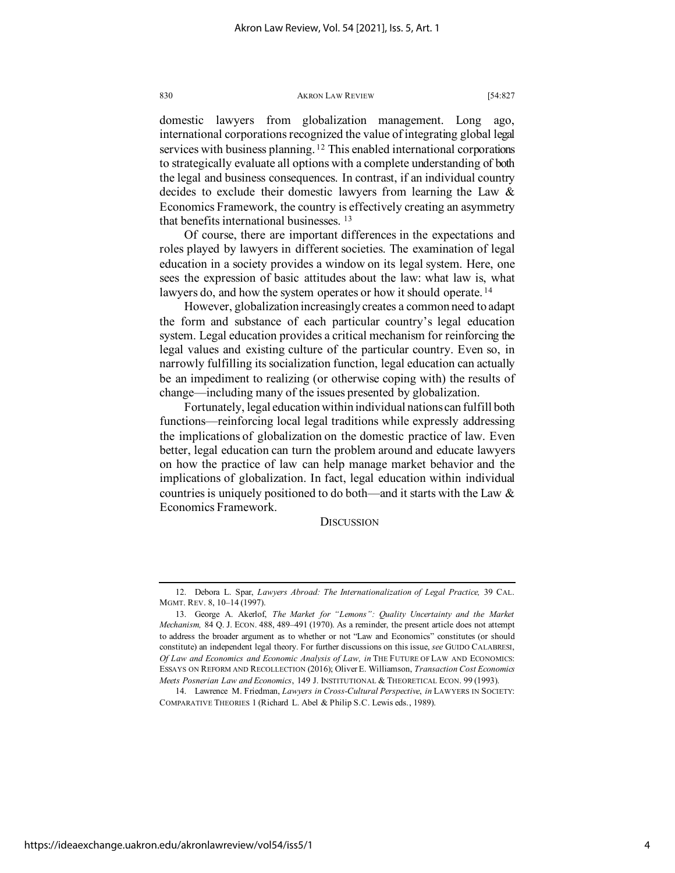domestic lawyers from globalization management. Long ago, international corporations recognized the value of integrating global legal services with business planning.<sup>[12](#page-4-0)</sup> This enabled international corporations to strategically evaluate all options with a complete understanding of both the legal and business consequences. In contrast, if an individual country decides to exclude their domestic lawyers from learning the Law & Economics Framework, the country is effectively creating an asymmetry that benefits international businesses. [13](#page-4-1)

Of course, there are important differences in the expectations and roles played by lawyers in different societies. The examination of legal education in a society provides a window on its legal system. Here, one sees the expression of basic attitudes about the law: what law is, what lawyers do, and how the system operates or how it should operate.<sup>[14](#page-4-2)</sup>

However, globalization increasingly creates a common need to adapt the form and substance of each particular country's legal education system. Legal education provides a critical mechanism for reinforcing the legal values and existing culture of the particular country. Even so, in narrowly fulfilling its socialization function, legal education can actually be an impediment to realizing (or otherwise coping with) the results of change—including many of the issues presented by globalization.

Fortunately, legal education within individual nations can fulfill both functions—reinforcing local legal traditions while expressly addressing the implications of globalization on the domestic practice of law. Even better, legal education can turn the problem around and educate lawyers on how the practice of law can help manage market behavior and the implications of globalization. In fact, legal education within individual countries is uniquely positioned to do both—and it starts with the Law & Economics Framework.

# **DISCUSSION**

<span id="page-4-0"></span><sup>12.</sup> Debora L. Spar, *Lawyers Abroad: The Internationalization of Legal Practice,* 39 CAL. MGMT. REV. 8, 10–14 (1997).

<span id="page-4-1"></span><sup>13.</sup> George A. Akerlof, *The Market for "Lemons": Quality Uncertainty and the Market Mechanism,* 84 Q. J. ECON. 488, 489–491 (1970). As a reminder, the present article does not attempt to address the broader argument as to whether or not "Law and Economics" constitutes (or should constitute) an independent legal theory. For further discussions on this issue, *see* GUIDO CALABRESI, *Of Law and Economics and Economic Analysis of Law, in* THE FUTURE OF LAW AND ECONOMICS: ESSAYS ON REFORM AND RECOLLECTION (2016); Oliver E. Williamson, *Transaction Cost Economics Meets Posnerian Law and Economics*, 149 J. INSTITUTIONAL & THEORETICAL ECON. 99 (1993).

<span id="page-4-2"></span><sup>14.</sup> Lawrence M. Friedman, *Lawyers in Cross-Cultural Perspective*, *in* LAWYERS IN SOCIETY: COMPARATIVE THEORIES 1 (Richard L. Abel & Philip S.C. Lewis eds., 1989).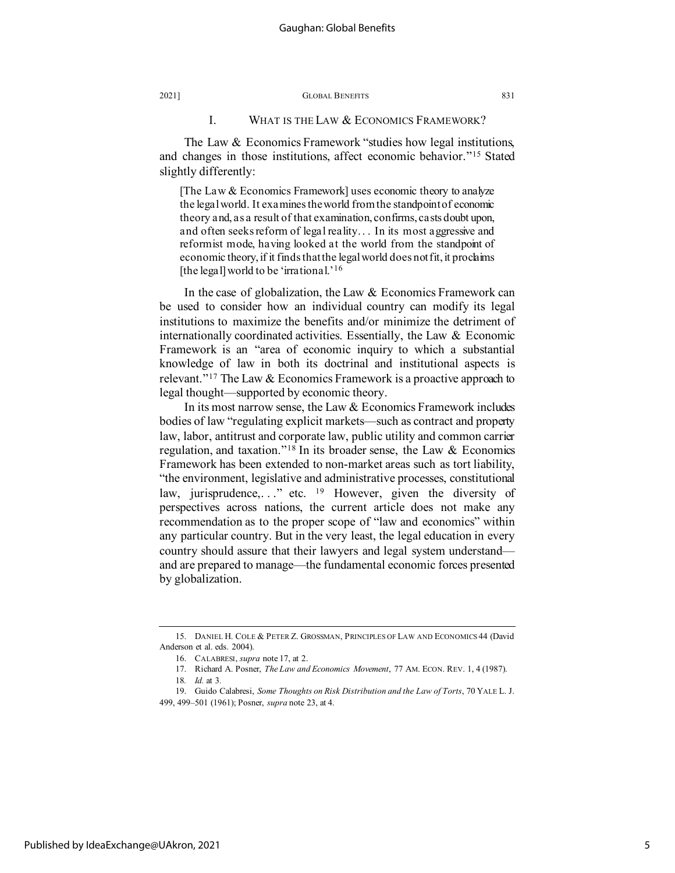## I. WHAT IS THE LAW & ECONOMICS FRAMEWORK?

The Law & Economics Framework "studies how legal institutions, and changes in those institutions, affect economic behavior."[15](#page-5-0) Stated slightly differently:

[The Law & Economics Framework] uses economic theory to analyze the legal world. It examines the world from the standpoint of economic theory and, as a result of that examination, confirms, casts doubt upon, and often seeks reform of legal reality. . . In its most aggressive and reform ist mode, having looked at the world from the standpoint of economic theory, if it finds that the legal world does not fit, it proclaims [the legal] world to be 'irrational.'[16](#page-5-1)

In the case of globalization, the Law & Economics Framework can be used to consider how an individual country can modify its legal institutions to maximize the benefits and/or minimize the detriment of internationally coordinated activities. Essentially, the Law  $\&$  Economic Framework is an "area of economic inquiry to which a substantial knowledge of law in both its doctrinal and institutional aspects is relevant."[17](#page-5-2) The Law & Economics Framework is a proactive approach to legal thought—supported by economic theory.

In its most narrow sense, the Law & Economics Framework includes bodies of law "regulating explicit markets—such as contract and property law, labor, antitrust and corporate law, public utility and common carrier regulation, and taxation."<sup>[18](#page-5-3)</sup> In its broader sense, the Law  $\&$  Economics Framework has been extended to non-market areas such as tort liability, "the environment, legislative and administrative processes, constitutional law, jurisprudence,..." etc. <sup>[19](#page-5-4)</sup> However, given the diversity of perspectives across nations, the current article does not make any recommendation as to the proper scope of "law and economics" within any particular country. But in the very least, the legal education in every country should assure that their lawyers and legal system understand and are prepared to manage—the fundamental economic forces presented by globalization.

<span id="page-5-1"></span><span id="page-5-0"></span><sup>15.</sup> DANIEL H. COLE & PETER Z. GROSSMAN, PRINCIPLES OF LAW AND ECONOMICS 44 (David Anderson et al. eds. 2004).

<sup>16.</sup> CALABRESI, *supra* note 17, at 2.

<sup>17.</sup> Richard A. Posner, *The Law and Economics Movement*, 77 AM. ECON. REV. 1, 4 (1987).

<sup>18</sup>*. Id.* at 3*.*

<span id="page-5-4"></span><span id="page-5-3"></span><span id="page-5-2"></span><sup>19.</sup> Guido Calabresi, *Some Thoughts on Risk Distribution and the Law of Torts*, 70 YALE L. J. 499, 499–501 (1961); Posner, *supra* note 23, at 4.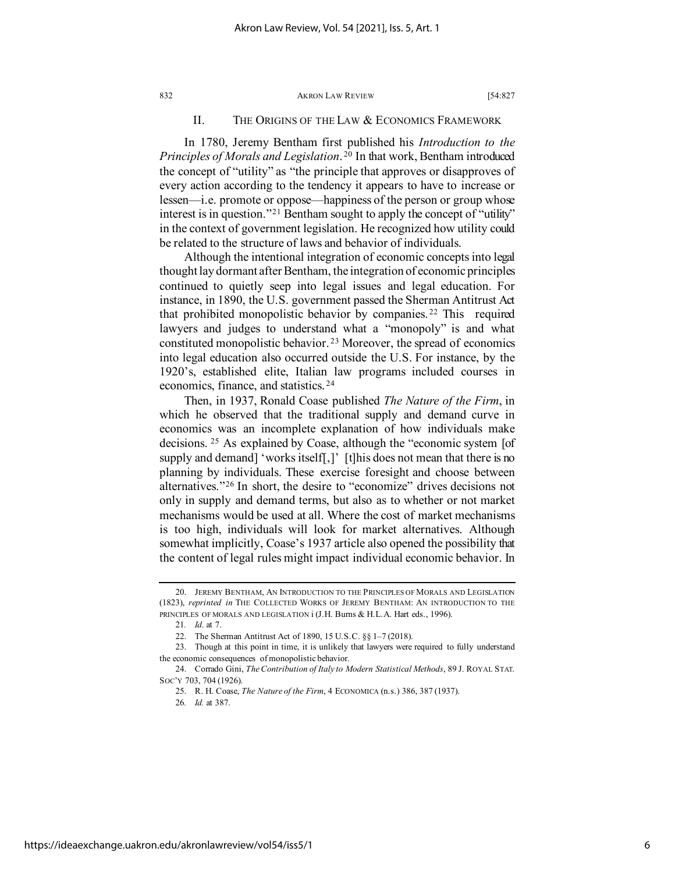## II. THE ORIGINS OF THE LAW & ECONOMICS FRAMEWORK

In 1780, Jeremy Bentham first published his *Introduction to the Principles of Morals and Legislation*. [20](#page-6-0) In that work, Bentham introduced the concept of "utility" as "the principle that approves or disapproves of every action according to the tendency it appears to have to increase or lessen—i.e. promote or oppose—happiness of the person or group whose interest is in question."<sup>[21](#page-6-1)</sup> Bentham sought to apply the concept of "utility" in the context of government legislation. He recognized how utility could be related to the structure of laws and behavior of individuals.

Although the intentional integration of economic concepts into legal thought lay dormant after Bentham, the integration of economic principles continued to quietly seep into legal issues and legal education. For instance, in 1890, the U.S. government passed the Sherman Antitrust Act that prohibited monopolistic behavior by companies. [22](#page-6-2) This required lawyers and judges to understand what a "monopoly" is and what constituted monopolistic behavior. [23](#page-6-3) Moreover, the spread of economics into legal education also occurred outside the U.S. For instance, by the 1920's, established elite, Italian law programs included courses in economics, finance, and statistics. [24](#page-6-4)

Then, in 1937, Ronald Coase published *The Nature of the Firm*, in which he observed that the traditional supply and demand curve in economics was an incomplete explanation of how individuals make decisions. [25](#page-6-5) As explained by Coase, although the "economic system [of supply and demand] 'works itself[,]' [t]his does not mean that there is no planning by individuals. These exercise foresight and choose between alternatives."[26](#page-6-6) In short, the desire to "economize" drives decisions not only in supply and demand terms, but also as to whether or not market mechanisms would be used at all. Where the cost of market mechanisms is too high, individuals will look for market alternatives. Although somewhat implicitly, Coase's 1937 article also opened the possibility that the content of legal rules might impact individual economic behavior. In

<span id="page-6-0"></span><sup>20.</sup> JEREMY BENTHAM, AN INTRODUCTION TO THE PRINCIPLES OF MORALS AND LEGISLATION (1823), *reprinted in* THE COLLECTED WORKS OF JEREMY BENTHAM: AN INTRODUCTION TO THE PRINCIPLES OF MORALS AND LEGISLATION  $i$  (J.H. Burns & H.L.A. Hart eds., 1996).

<sup>21</sup>*. Id*. at 7.

<sup>22.</sup> The Sherman Antitrust Act of 1890, 15 U.S.C. §§ 1–7 (2018).

<span id="page-6-3"></span><span id="page-6-2"></span><span id="page-6-1"></span><sup>23.</sup> Though at this point in time, it is unlikely that lawyers were required to fully understand the economic consequences of monopolistic behavior.

<span id="page-6-6"></span><span id="page-6-5"></span><span id="page-6-4"></span><sup>24.</sup> Corrado Gini, *The Contribution of Italy to Modern Statistical Methods*, 89 J. ROYAL STAT. SOC'Y 703, 704 (1926).

<sup>25.</sup> R. H. Coase, *The Nature of the Firm*, 4 ECONOMICA (n.s.) 386, 387 (1937).

<sup>26</sup>*. Id.* at 387.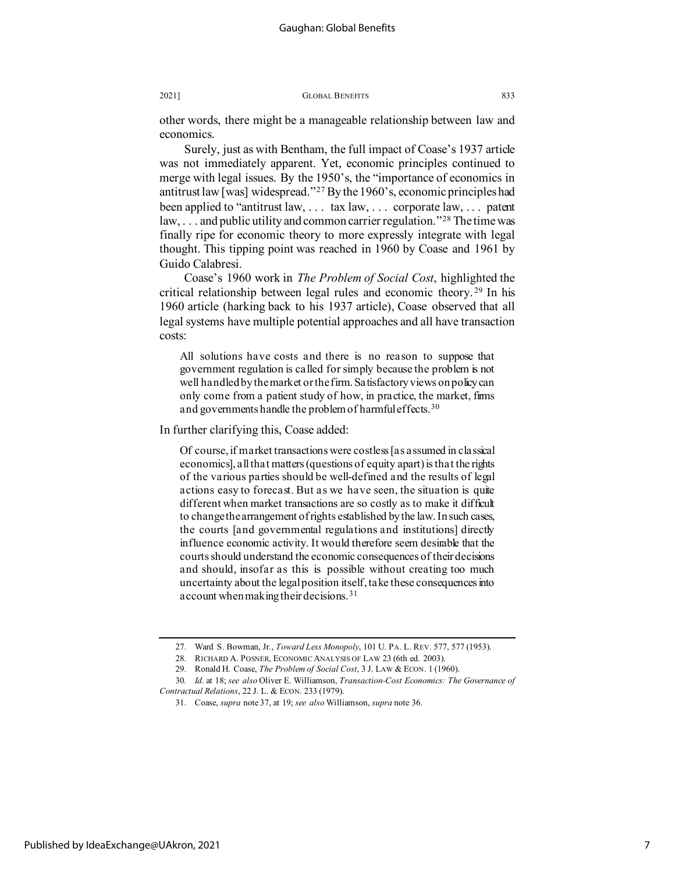other words, there might be a manageable relationship between law and economics.

Surely, just as with Bentham, the full impact of Coase's 1937 article was not immediately apparent. Yet, economic principles continued to merge with legal issues. By the 1950's, the "importance of economics in antitrust law [was] widespread."[27](#page-7-0) By the 1960's, economic principles had been applied to "antitrust law, . . . tax law, . . . corporate law, . . . patent law,  $\ldots$  and public utility and common carrier regulation."<sup>[28](#page-7-1)</sup> The time was finally ripe for economic theory to more expressly integrate with legal thought. This tipping point was reached in 1960 by Coase and 1961 by Guido Calabresi.

Coase's 1960 work in *The Problem of Social Cost*, highlighted the critical relationship between legal rules and economic theory. [29](#page-7-2) In his 1960 article (harking back to his 1937 article), Coase observed that all legal systems have multiple potential approaches and all have transaction costs:

All solutions have costs and there is no reason to suppose that government regulation is called for simply because the problem is not well handled by the market or the firm. Satisfactory views on policy can only come from a patient study of how, in practice, the market, firms and governments handle the problem of harmful effects.<sup>[30](#page-7-3)</sup>

In further clarifying this, Coase added:

Of course, if market transactions were costless [as assumed in classical economics], all that matters (questions of equity apart) is that the rights of the various parties should be well-defined and the results of legal actions easy to forecast. But as we have seen, the situation is quite different when market transactions are so costly as to make it difficult to change the arrangement of rights established by the law. In such cases, the courts [and governmental regulations and institutions] directly influence economic activity. It would therefore seem desirable that the courts should understand the economic consequences of their decisions and should, insofar as this is possible without creating too much uncertainty about the legal position itself, take these consequences into account when making their decisions.[31](#page-7-4)

<sup>27.</sup> Ward S. Bowman, Jr., *Toward Less Monopoly*, 101 U. PA. L. REV. 577, 577 (1953).

<sup>28.</sup> RICHARD A. POSNER, ECONOMIC ANALYSIS OF LAW 23 (6th ed. 2003).

<sup>29.</sup> Ronald H. Coase, *The Problem of Social Cost*, 3 J. LAW & ECON. 1 (1960).

<span id="page-7-4"></span><span id="page-7-3"></span><span id="page-7-2"></span><span id="page-7-1"></span><span id="page-7-0"></span><sup>30</sup>*. Id*. at 18; *see also* Oliver E. Williamson, *Transaction-Cost Economics: The Governance of Contractual Relations*, 22 J. L. & ECON. 233 (1979).

<sup>31.</sup> Coase, *supra* note 37, at 19; *see also* Williamson, *supra* note 36.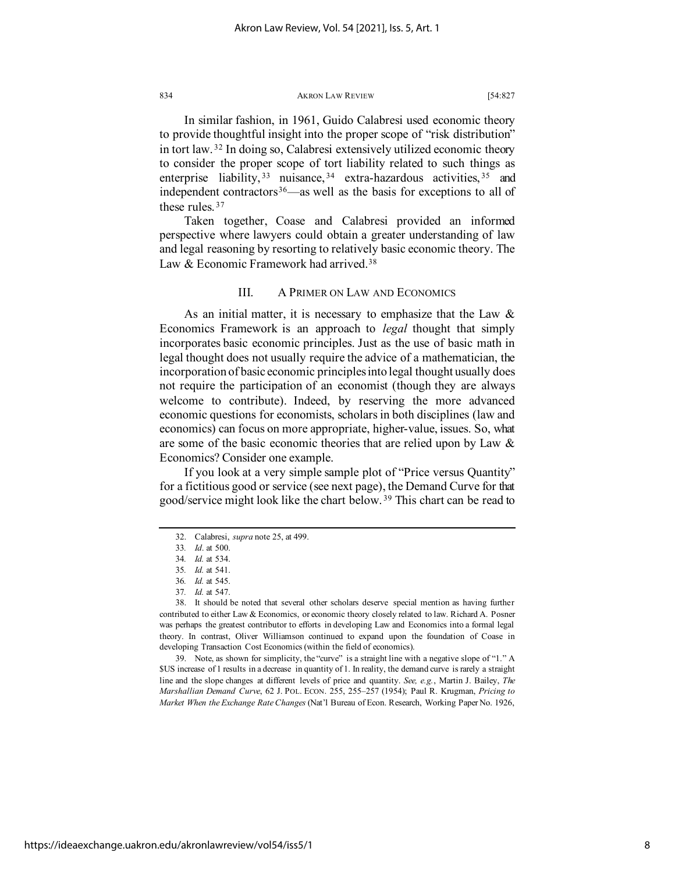In similar fashion, in 1961, Guido Calabresi used economic theory to provide thoughtful insight into the proper scope of "risk distribution" in tort law. [32](#page-8-0) In doing so, Calabresi extensively utilized economic theory to consider the proper scope of tort liability related to such things as enterprise liability, <sup>[33](#page-8-1)</sup> nuisance, <sup>[34](#page-8-2)</sup> extra-hazardous activities, <sup>[35](#page-8-3)</sup> and independent contractors $36$ —as well as the basis for exceptions to all of these rules. [37](#page-8-5)

Taken together, Coase and Calabresi provided an informed perspective where lawyers could obtain a greater understanding of law and legal reasoning by resorting to relatively basic economic theory. The Law & Economic Framework had arrived.<sup>[38](#page-8-6)</sup>

# III. A PRIMER ON LAW AND ECONOMICS

As an initial matter, it is necessary to emphasize that the Law  $\&$ Economics Framework is an approach to *legal* thought that simply incorporates basic economic principles. Just as the use of basic math in legal thought does not usually require the advice of a mathematician, the incorporation of basic economic principles into legal thought usually does not require the participation of an economist (though they are always welcome to contribute). Indeed, by reserving the more advanced economic questions for economists, scholars in both disciplines (law and economics) can focus on more appropriate, higher-value, issues. So, what are some of the basic economic theories that are relied upon by Law & Economics? Consider one example.

If you look at a very simple sample plot of "Price versus Quantity" for a fictitious good or service (see next page), the Demand Curve for that good/service might look like the chart below. [39](#page-8-7) This chart can be read to

<span id="page-8-7"></span>39. Note, as shown for simplicity, the "curve" is a straight line with a negative slope of "1." A \$US increase of 1 results in a decrease in quantity of 1. In reality, the demand curve is rarely a straight line and the slope changes at different levels of price and quantity. *See, e.g.*, Martin J. Bailey, *The Marshallian Demand Curve*, 62 J. POL. ECON. 255, 255–257 (1954); Paul R. Krugman, *Pricing to Market When the Exchange Rate Changes* (Nat'l Bureau of Econ. Research, Working Paper No. 1926,

<sup>32.</sup> Calabresi, *supra* note 25, at 499.

<sup>33</sup>*. Id*. at 500.

<sup>34</sup>*. Id.* at 534.

<sup>35</sup>*. Id.* at 541.

<sup>36</sup>*. Id.* at 545.

<sup>37</sup>*. Id.* at 547.

<span id="page-8-6"></span><span id="page-8-5"></span><span id="page-8-4"></span><span id="page-8-3"></span><span id="page-8-2"></span><span id="page-8-1"></span><span id="page-8-0"></span><sup>38.</sup> It should be noted that several other scholars deserve special mention as having further contributed to either Law & Economics, or economic theory closely related to law. Richard A. Posner was perhaps the greatest contributor to efforts in developing Law and Economics into a formal legal theory. In contrast, Oliver Williamson continued to expand upon the foundation of Coase in developing Transaction Cost Economics (within the field of economics).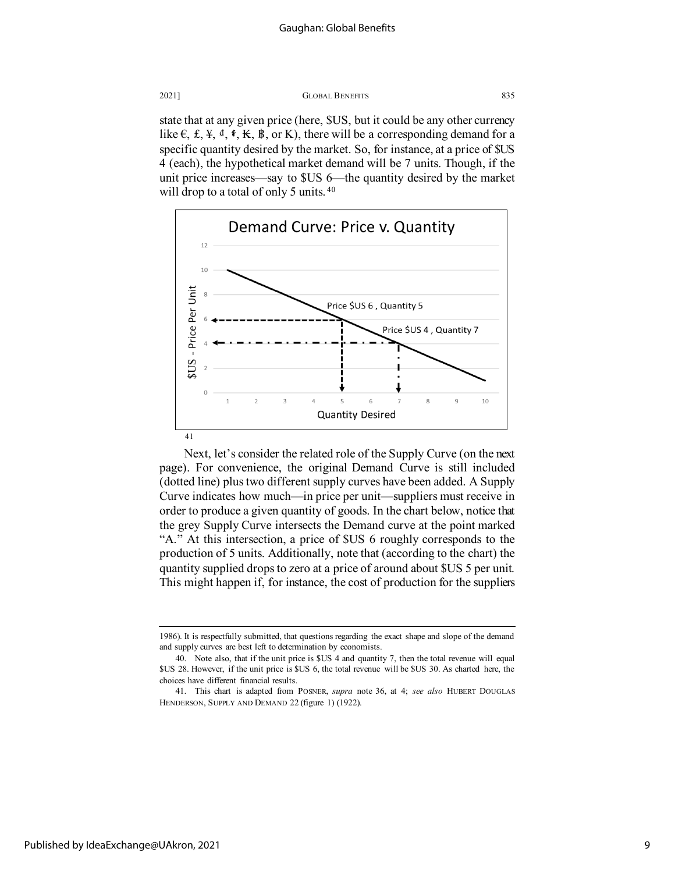state that at any given price (here, \$US, but it could be any other currency like  $\epsilon$ , £,  $\ddagger$ ,  $\ddagger$ ,  $\ddagger$ ,  $\ddagger$ ,  $\ddagger$ ,  $\ddagger$ ,  $\ddagger$ ,  $\ddagger$ ,  $\ddagger$ ,  $\ddagger$ ,  $\ddagger$ ,  $\ddagger$ ,  $\ddagger$ ,  $\ddagger$ ,  $\ddagger$ ,  $\ddagger$ ,  $\ddagger$ ,  $\ddagger$ ,  $\ddagger$ ,  $\ddagger$ ,  $\ddagger$ ,  $\ddagger$ ,  $\ddagger$ ,  $\ddagger$ ,  $\ddagger$ ,  $\ddagger$ ,  $\ddagger$ ,  $\ddagger$ ,  $\ddagger$ ,  $\ddagger$ specific quantity desired by the market. So, for instance, at a price of \$US 4 (each), the hypothetical market demand will be 7 units. Though, if the unit price increases—say to \$US 6—the quantity desired by the market will drop to a total of only 5 units.<sup>[40](#page-9-0)</sup>



Next, let's consider the related role of the Supply Curve (on the next page). For convenience, the original Demand Curve is still included (dotted line) plus two different supply curves have been added. A Supply Curve indicates how much—in price per unit—suppliers must receive in order to produce a given quantity of goods. In the chart below, notice that the grey Supply Curve intersects the Demand curve at the point marked "A." At this intersection, a price of \$US 6 roughly corresponds to the production of 5 units. Additionally, note that (according to the chart) the quantity supplied drops to zero at a price of around about \$US 5 per unit. This might happen if, for instance, the cost of production for the suppliers

<sup>1986).</sup> It is respectfully submitted, that questions regarding the exact shape and slope of the demand and supply curves are best left to determination by economists.

<span id="page-9-0"></span><sup>40.</sup> Note also, that if the unit price is \$US 4 and quantity 7, then the total revenue will equal \$US 28. However, if the unit price is \$US 6, the total revenue will be \$US 30. As charted here, the choices have different financial results.

<span id="page-9-1"></span><sup>41.</sup> This chart is adapted from POSNER, *supra* note 36, at 4; *see also* HUBERT DOUGLAS HENDERSON, SUPPLY AND DEMAND 22 (figure 1) (1922).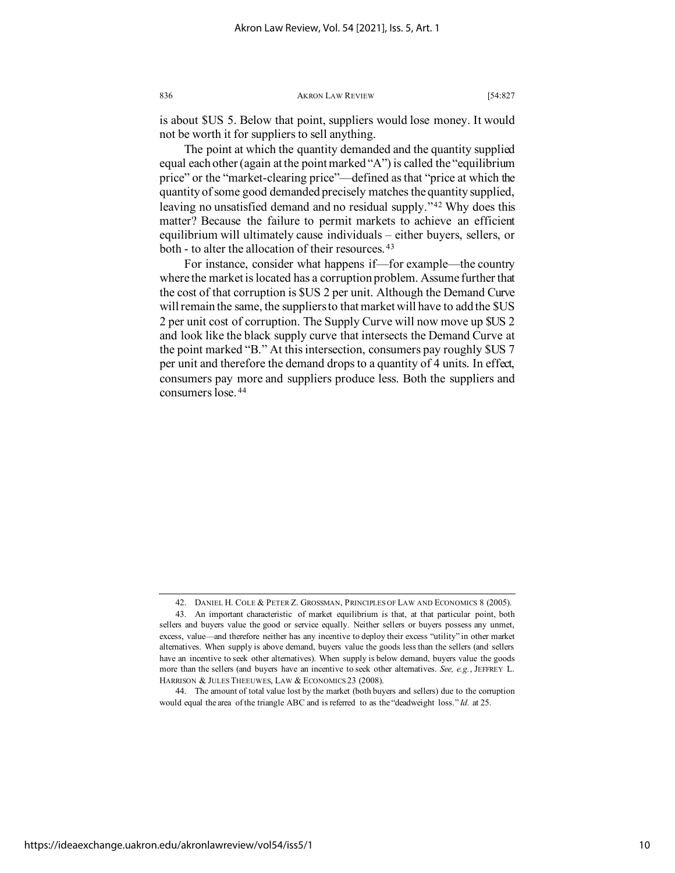is about \$US 5. Below that point, suppliers would lose money. It would not be worth it for suppliers to sell anything.

The point at which the quantity demanded and the quantity supplied equal each other (again at the point marked "A") is called the "equilibrium price" or the "market-clearing price"—defined as that "price at which the quantity of some good demanded precisely matches the quantity supplied, leaving no unsatisfied demand and no residual supply."[42](#page-10-0) Why does this matter? Because the failure to permit markets to achieve an efficient equilibrium will ultimately cause individuals – either buyers, sellers, or both - to alter the allocation of their resources. [43](#page-10-1)

For instance, consider what happens if—for example—the country where the market is located has a corruption problem. Assume further that the cost of that corruption is \$US 2 per unit. Although the Demand Curve will remain the same, the suppliers to that market will have to add the \$US 2 per unit cost of corruption. The Supply Curve will now move up \$US 2 and look like the black supply curve that intersects the Demand Curve at the point marked "B." At this intersection, consumers pay roughly \$US 7 per unit and therefore the demand drops to a quantity of 4 units. In effect, consumers pay more and suppliers produce less. Both the suppliers and consumers lose. [44](#page-10-2)

<span id="page-10-2"></span>https://ideaexchange.uakron.edu/akronlawreview/vol54/iss5/1

<sup>42.</sup> DANIEL H. COLE & PETER Z. GROSSMAN, PRINCIPLES OF LAW AND ECONOMICS 8 (2005).

<span id="page-10-1"></span><span id="page-10-0"></span><sup>43.</sup> An important characteristic of market equilibrium is that, at that particular point, both sellers and buyers value the good or service equally. Neither sellers or buyers possess any unmet, excess, value—and therefore neither has any incentive to deploy their excess "utility" in other market alternatives. When supply is above demand, buyers value the goods less than the sellers (and sellers have an incentive to seek other alternatives). When supply is below demand, buyers value the goods more than the sellers (and buyers have an incentive to seek other alternatives. *See, e.g.*, JEFFREY L. HARRISON & JULES THEEUWES, LAW & ECONOMICS 23 (2008).

<sup>44.</sup> The amount of total value lost by the market (both buyers and sellers) due to the corruption would equal the area of the triangle ABC and is referred to as the "deadweight loss." *Id.* at 25.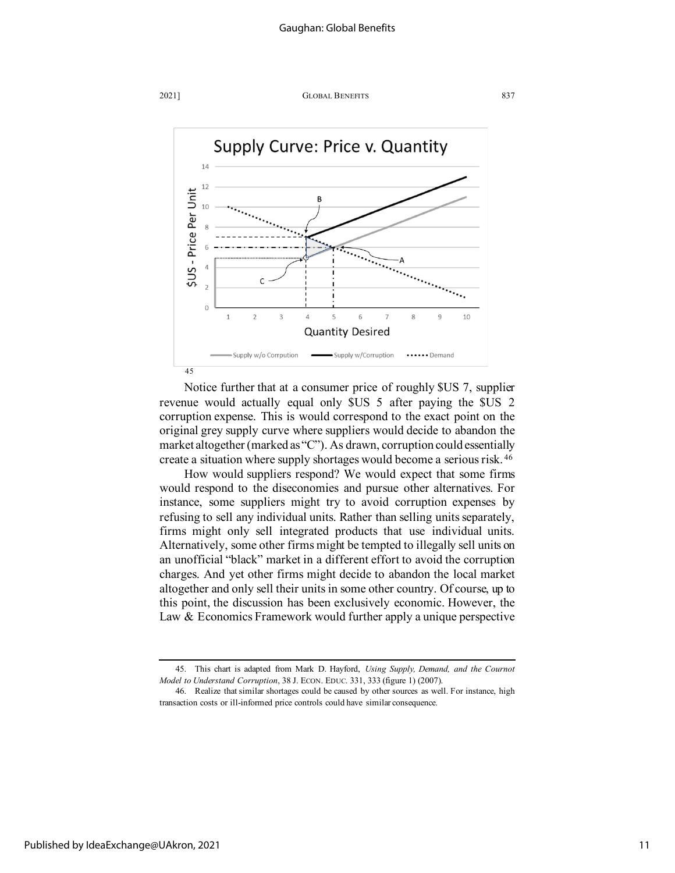



Notice further that at a consumer price of roughly \$US 7, supplier revenue would actually equal only \$US 5 after paying the \$US 2 corruption expense. This is would correspond to the exact point on the original grey supply curve where suppliers would decide to abandon the market altogether (marked as "C"). As drawn, corruption could essentially create a situation where supply shortages would become a serious risk. [46](#page-11-1)

How would suppliers respond? We would expect that some firms would respond to the diseconomies and pursue other alternatives. For instance, some suppliers might try to avoid corruption expenses by refusing to sell any individual units. Rather than selling units separately, firms might only sell integrated products that use individual units. Alternatively, some other firms might be tempted to illegally sell units on an unofficial "black" market in a different effort to avoid the corruption charges. And yet other firms might decide to abandon the local market altogether and only sell their units in some other country. Of course, up to this point, the discussion has been exclusively economic. However, the Law & Economics Framework would further apply a unique perspective

<span id="page-11-0"></span><sup>45.</sup> This chart is adapted from Mark D. Hayford, *Using Supply, Demand, and the Cournot Model to Understand Corruption*, 38 J. ECON. EDUC. 331, 333 (figure 1) (2007).

<span id="page-11-1"></span><sup>46.</sup> Realize that similar shortages could be caused by other sources as well. For instance, high transaction costs or ill-informed price controls could have similar consequence.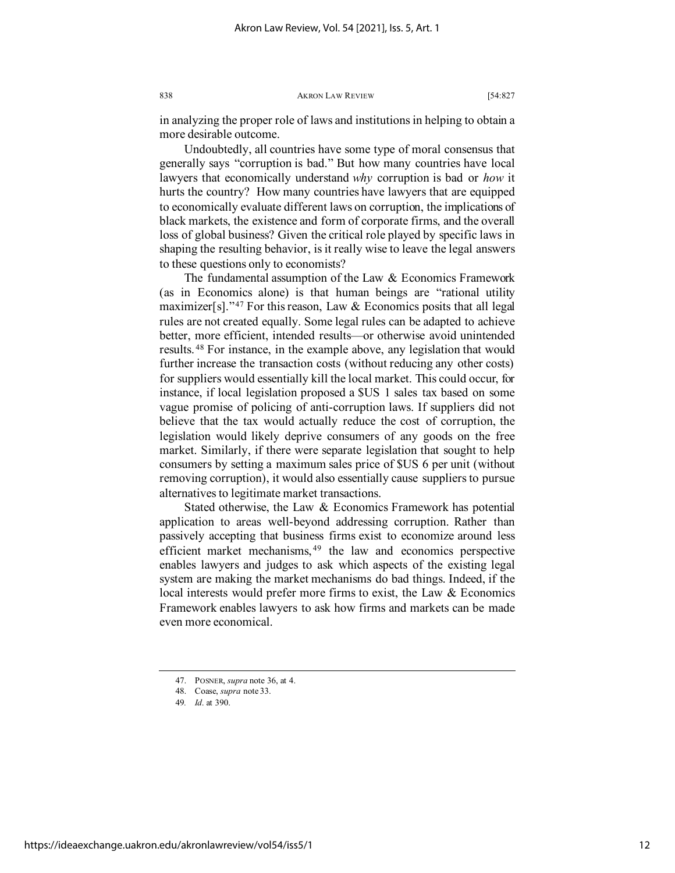in analyzing the proper role of laws and institutions in helping to obtain a more desirable outcome.

Undoubtedly, all countries have some type of moral consensus that generally says "corruption is bad." But how many countries have local lawyers that economically understand *why* corruption is bad or *how* it hurts the country? How many countries have lawyers that are equipped to economically evaluate different laws on corruption, the implications of black markets, the existence and form of corporate firms, and the overall loss of global business? Given the critical role played by specific laws in shaping the resulting behavior, is it really wise to leave the legal answers to these questions only to economists?

The fundamental assumption of the Law & Economics Framework (as in Economics alone) is that human beings are "rational utility maximizer[s]."<sup>[47](#page-12-0)</sup> For this reason, Law  $&$  Economics posits that all legal rules are not created equally. Some legal rules can be adapted to achieve better, more efficient, intended results—or otherwise avoid unintended results. [48](#page-12-1) For instance, in the example above, any legislation that would further increase the transaction costs (without reducing any other costs) for suppliers would essentially kill the local market. This could occur, for instance, if local legislation proposed a \$US 1 sales tax based on some vague promise of policing of anti-corruption laws. If suppliers did not believe that the tax would actually reduce the cost of corruption, the legislation would likely deprive consumers of any goods on the free market. Similarly, if there were separate legislation that sought to help consumers by setting a maximum sales price of \$US 6 per unit (without removing corruption), it would also essentially cause suppliers to pursue alternatives to legitimate market transactions.

Stated otherwise, the Law & Economics Framework has potential application to areas well-beyond addressing corruption. Rather than passively accepting that business firms exist to economize around less efficient market mechanisms,  $49$  the law and economics perspective enables lawyers and judges to ask which aspects of the existing legal system are making the market mechanisms do bad things. Indeed, if the local interests would prefer more firms to exist, the Law & Economics Framework enables lawyers to ask how firms and markets can be made even more economical.

<sup>47.</sup> POSNER, *supra* note 36, at 4.

<span id="page-12-0"></span><sup>48.</sup> Coase, *supra* note 33.

<span id="page-12-2"></span><span id="page-12-1"></span><sup>49</sup>*. Id*. at 390.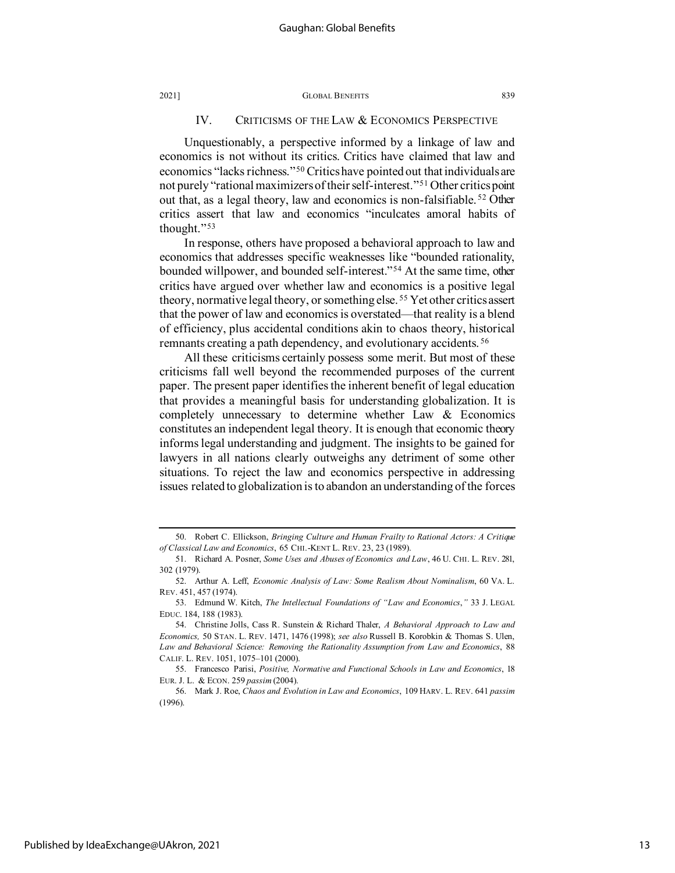# IV. CRITICISMS OF THE LAW & ECONOMICS PERSPECTIVE

Unquestionably, a perspective informed by a linkage of law and economics is not without its critics. Critics have claimed that law and economics "lacks richness."[50](#page-13-0) Critics have pointed out that individuals are not purely "rational maximizers of their self-interest."[51](#page-13-1) Other critics point out that, as a legal theory, law and economics is non-falsifiable. [52](#page-13-2) Other critics assert that law and economics "inculcates amoral habits of thought."[53](#page-13-3)

In response, others have proposed a behavioral approach to law and economics that addresses specific weaknesses like "bounded rationality, bounded willpower, and bounded self-interest."[54](#page-13-4) At the same time, other critics have argued over whether law and economics is a positive legal theory, normative legal theory, or something else. [55](#page-13-5) Yet other critics assert that the power of law and economics is overstated—that reality is a blend of efficiency, plus accidental conditions akin to chaos theory, historical remnants creating a path dependency, and evolutionary accidents. [56](#page-13-6)

All these criticisms certainly possess some merit. But most of these criticisms fall well beyond the recommended purposes of the current paper. The present paper identifies the inherent benefit of legal education that provides a meaningful basis for understanding globalization. It is completely unnecessary to determine whether Law & Economics constitutes an independent legal theory. It is enough that economic theory informs legal understanding and judgment. The insights to be gained for lawyers in all nations clearly outweighs any detriment of some other situations. To reject the law and economics perspective in addressing issues related to globalization is to abandon an understanding of the forces

<span id="page-13-0"></span><sup>50.</sup> Robert C. Ellickson, *Bringing Culture and Human Frailty to Rational Actors: A Critique of Classical Law and Economics*, 65 CHI.-KENT L. REV. 23, 23 (1989).

<span id="page-13-1"></span><sup>51.</sup> Richard A. Posner, *Some Uses and Abuses of Economics and Law*, 46 U. CHI. L. REV. 281, 302 (1979).

<span id="page-13-2"></span><sup>52.</sup> Arthur A. Leff, *Economic Analysis of Law: Some Realism About Nominalism*, 60 VA. L. REV. 451, 457 (1974).

<span id="page-13-3"></span><sup>53.</sup> Edmund W. Kitch, *The Intellectual Foundations of "Law and Economics*,*"* 33 J. LEGAL EDUC. 184, 188 (1983).

<span id="page-13-4"></span><sup>54.</sup> Christine Jolls, Cass R. Sunstein & Richard Thaler, *A Behavioral Approach to Law and Economics,* 50 STAN. L. REV. 1471, 1476 (1998); *see also* Russell B. Korobkin & Thomas S. Ulen, *Law and Behavioral Science: Removing the Rationality Assumption from Law and Economics*, 88 CALIF. L. REV. 1051, 1075–101 (2000).

<span id="page-13-5"></span><sup>55.</sup> Francesco Parisi, *Positive, Normative and Functional Schools in Law and Economics*, 18 EUR. J. L. & ECON. 259 *passim* (2004).

<span id="page-13-6"></span><sup>56.</sup> Mark J. Roe, *Chaos and Evolution in Law and Economics*, 109 HARV. L. REV. 641 *passim* (1996).